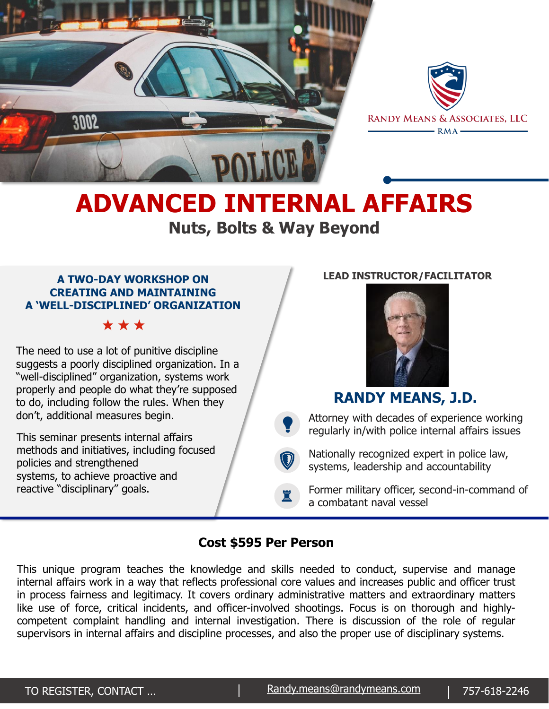



# **ADVANCED INTERNAL AFFAIRS Nuts, Bolts & Way Beyond**

#### **A TWO-DAY WORKSHOP ON CREATING AND MAINTAINING A 'WELL-DISCIPLINED' ORGANIZATION**

\*\*\*

The need to use a lot of punitive discipline suggests a poorly disciplined organization. In a "well-disciplined" organization, systems work properly and people do what they're supposed to do, including follow the rules. When they don't, additional measures begin.

This seminar presents internal affairs methods and initiatives, including focused policies and strengthened systems, to achieve proactive and reactive "disciplinary" goals.

#### **LEAD INSTRUCTOR/FACILITATOR**



## **RANDY MEANS, J.D.**

 $\bullet$ Attorney with decades of experience working regularly in/with police internal affairs issues

 $\bigcirc$ Nationally recognized expert in police law, systems, leadership and accountability

Former military officer, second-in-command of a combatant naval vessel

### **Cost \$595 Per Person**

♜

This unique program teaches the knowledge and skills needed to conduct, supervise and manage internal affairs work in a way that reflects professional core values and increases public and officer trust in process fairness and legitimacy. It covers ordinary administrative matters and extraordinary matters like use of force, critical incidents, and officer-involved shootings. Focus is on thorough and highlycompetent complaint handling and internal investigation. There is discussion of the role of regular supervisors in internal affairs and discipline processes, and also the proper use of disciplinary systems.